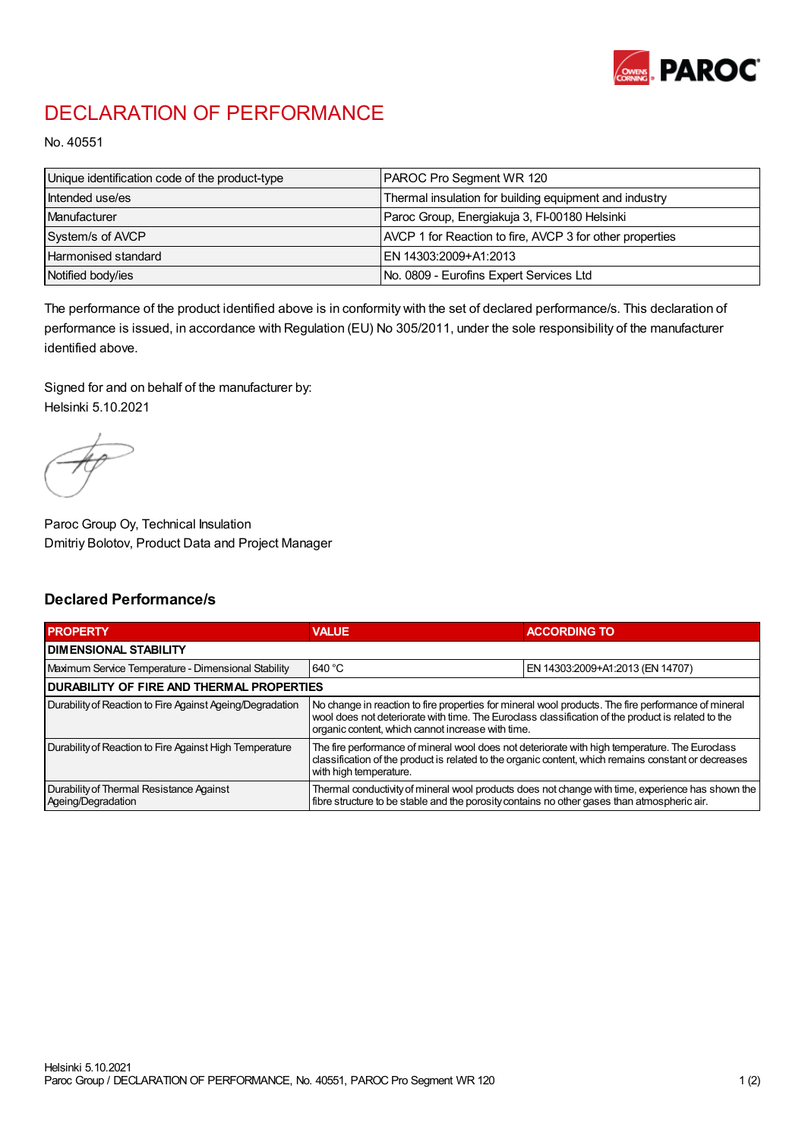

## DECLARATION OF PERFORMANCE

No. 40551

| Unique identification code of the product-type | PAROC Pro Segment WR 120                                 |
|------------------------------------------------|----------------------------------------------------------|
| Intended use/es                                | Thermal insulation for building equipment and industry   |
| Manufacturer                                   | Paroc Group, Energiakuja 3, FI-00180 Helsinki            |
| System/s of AVCP                               | AVCP 1 for Reaction to fire, AVCP 3 for other properties |
| Harmonised standard                            | IEN 14303:2009+A1:2013                                   |
| Notified body/ies                              | No. 0809 - Eurofins Expert Services Ltd                  |

The performance of the product identified above is in conformity with the set of declared performance/s. This declaration of performance is issued, in accordance with Regulation (EU) No 305/2011, under the sole responsibility of the manufacturer identified above.

Signed for and on behalf of the manufacturer by: Helsinki 5.10.2021

Paroc Group Oy, Technical Insulation Dmitriy Bolotov, Product Data and Project Manager

## Declared Performance/s

| <b>PROPERTY</b>                                                | <b>VALUE</b>                                                                                                                                                                                                                                                   | <b>ACCORDING TO</b>              |  |  |
|----------------------------------------------------------------|----------------------------------------------------------------------------------------------------------------------------------------------------------------------------------------------------------------------------------------------------------------|----------------------------------|--|--|
| <b>DIMENSIONAL STABILITY</b>                                   |                                                                                                                                                                                                                                                                |                                  |  |  |
| Maximum Service Temperature - Dimensional Stability            | 640 °C                                                                                                                                                                                                                                                         | EN 14303:2009+A1:2013 (EN 14707) |  |  |
| <b>DURABILITY OF FIRE AND THERMAL PROPERTIES</b>               |                                                                                                                                                                                                                                                                |                                  |  |  |
| Durability of Reaction to Fire Against Ageing/Degradation      | No change in reaction to fire properties for mineral wool products. The fire performance of mineral<br>wool does not deteriorate with time. The Euroclass classification of the product is related to the<br>organic content, which cannot increase with time. |                                  |  |  |
| Durability of Reaction to Fire Against High Temperature        | The fire performance of mineral wool does not deteriorate with high temperature. The Euroclass<br>classification of the product is related to the organic content, which remains constant or decreases<br>with high temperature.                               |                                  |  |  |
| Durability of Thermal Resistance Against<br>Ageing/Degradation | Thermal conductivity of mineral wool products does not change with time, experience has shown the<br>fibre structure to be stable and the porosity contains no other gases than atmospheric air.                                                               |                                  |  |  |